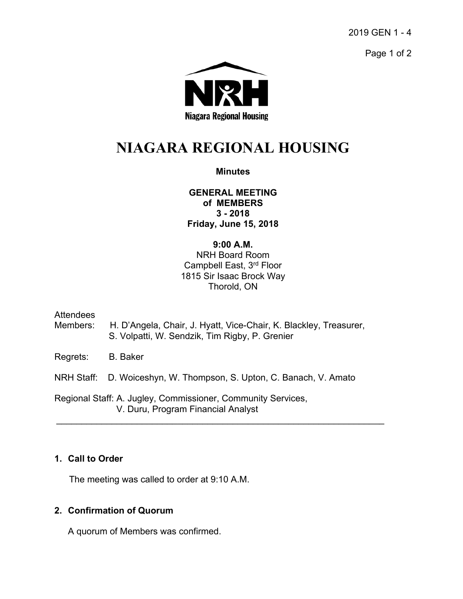2019 GEN 1 - 4

Page 1 of 2



# **NIAGARA REGIONAL HOUSING**

## **Minutes**

**GENERAL MEETING of MEMBERS 3 - 2018 Friday, June 15, 2018** 

### **9:00 A.M.**

NRH Board Room Campbell East, 3rd Floor 1815 Sir Isaac Brock Way Thorold, ON

### **Attendees**

- Members: H. D'Angela, Chair, J. Hyatt, Vice-Chair, K. Blackley, Treasurer, S. Volpatti, W. Sendzik, Tim Rigby, P. Grenier
- Regrets: B. Baker

NRH Staff: D. Woiceshyn, W. Thompson, S. Upton, C. Banach, V. Amato

 $\mathcal{L}_\mathcal{L} = \{ \mathcal{L}_\mathcal{L} = \{ \mathcal{L}_\mathcal{L} = \{ \mathcal{L}_\mathcal{L} = \{ \mathcal{L}_\mathcal{L} = \{ \mathcal{L}_\mathcal{L} = \{ \mathcal{L}_\mathcal{L} = \{ \mathcal{L}_\mathcal{L} = \{ \mathcal{L}_\mathcal{L} = \{ \mathcal{L}_\mathcal{L} = \{ \mathcal{L}_\mathcal{L} = \{ \mathcal{L}_\mathcal{L} = \{ \mathcal{L}_\mathcal{L} = \{ \mathcal{L}_\mathcal{L} = \{ \mathcal{L}_\mathcal{$ 

Regional Staff: A. Jugley, Commissioner, Community Services, V. Duru, Program Financial Analyst

## **1. Call to Order**

The meeting was called to order at 9:10 A.M.

## **2. Confirmation of Quorum**

A quorum of Members was confirmed.